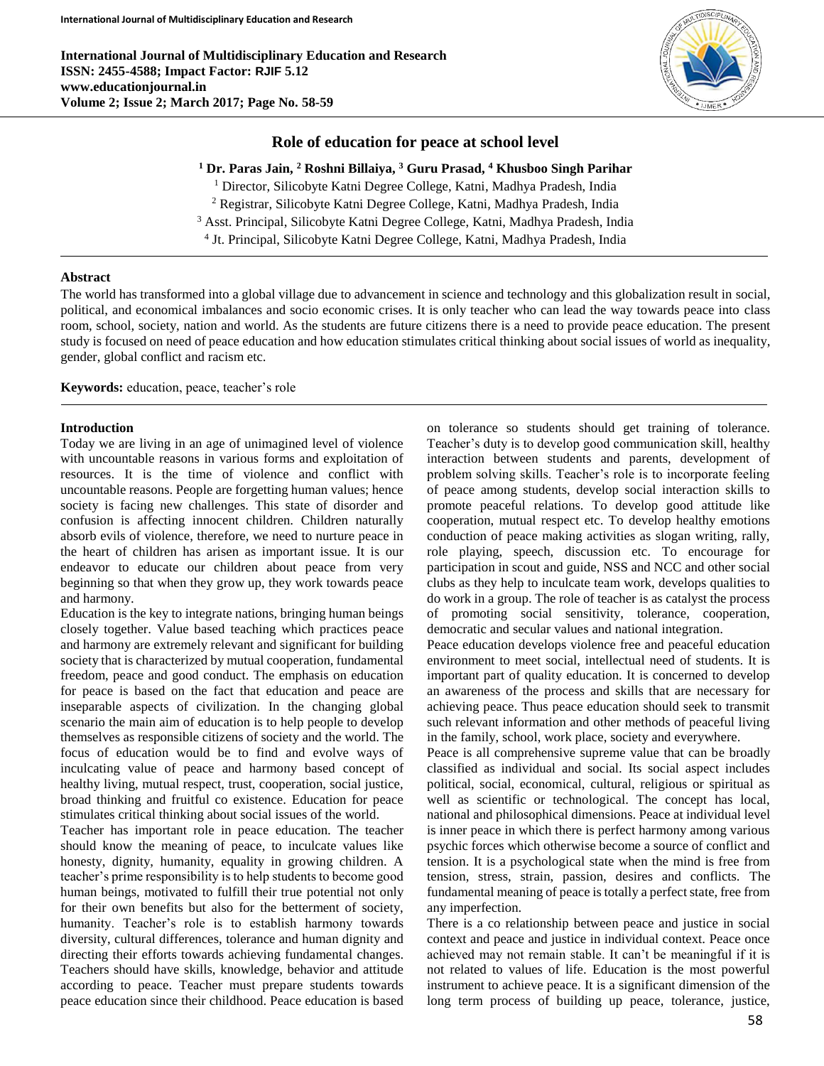**International Journal of Multidisciplinary Education and Research ISSN: 2455-4588; Impact Factor: RJIF 5.12 www.educationjournal.in Volume 2; Issue 2; March 2017; Page No. 58-59**



# **Role of education for peace at school level**

**<sup>1</sup> Dr. Paras Jain, <sup>2</sup> Roshni Billaiya, <sup>3</sup> Guru Prasad, <sup>4</sup> Khusboo Singh Parihar**

<sup>1</sup> Director, Silicobyte Katni Degree College, Katni, Madhya Pradesh, India

<sup>2</sup> Registrar, Silicobyte Katni Degree College, Katni, Madhya Pradesh, India

<sup>3</sup> Asst. Principal, Silicobyte Katni Degree College, Katni, Madhya Pradesh, India

4 Jt. Principal, Silicobyte Katni Degree College, Katni, Madhya Pradesh, India

# **Abstract**

The world has transformed into a global village due to advancement in science and technology and this globalization result in social, political, and economical imbalances and socio economic crises. It is only teacher who can lead the way towards peace into class room, school, society, nation and world. As the students are future citizens there is a need to provide peace education. The present study is focused on need of peace education and how education stimulates critical thinking about social issues of world as inequality, gender, global conflict and racism etc.

**Keywords:** education, peace, teacher's role

# **Introduction**

Today we are living in an age of unimagined level of violence with uncountable reasons in various forms and exploitation of resources. It is the time of violence and conflict with uncountable reasons. People are forgetting human values; hence society is facing new challenges. This state of disorder and confusion is affecting innocent children. Children naturally absorb evils of violence, therefore, we need to nurture peace in the heart of children has arisen as important issue. It is our endeavor to educate our children about peace from very beginning so that when they grow up, they work towards peace and harmony.

Education is the key to integrate nations, bringing human beings closely together. Value based teaching which practices peace and harmony are extremely relevant and significant for building society that is characterized by mutual cooperation, fundamental freedom, peace and good conduct. The emphasis on education for peace is based on the fact that education and peace are inseparable aspects of civilization. In the changing global scenario the main aim of education is to help people to develop themselves as responsible citizens of society and the world. The focus of education would be to find and evolve ways of inculcating value of peace and harmony based concept of healthy living, mutual respect, trust, cooperation, social justice, broad thinking and fruitful co existence. Education for peace stimulates critical thinking about social issues of the world.

Teacher has important role in peace education. The teacher should know the meaning of peace, to inculcate values like honesty, dignity, humanity, equality in growing children. A teacher's prime responsibility is to help students to become good human beings, motivated to fulfill their true potential not only for their own benefits but also for the betterment of society, humanity. Teacher's role is to establish harmony towards diversity, cultural differences, tolerance and human dignity and directing their efforts towards achieving fundamental changes. Teachers should have skills, knowledge, behavior and attitude according to peace. Teacher must prepare students towards peace education since their childhood. Peace education is based

on tolerance so students should get training of tolerance. Teacher's duty is to develop good communication skill, healthy interaction between students and parents, development of problem solving skills. Teacher's role is to incorporate feeling of peace among students, develop social interaction skills to promote peaceful relations. To develop good attitude like cooperation, mutual respect etc. To develop healthy emotions conduction of peace making activities as slogan writing, rally, role playing, speech, discussion etc. To encourage for participation in scout and guide, NSS and NCC and other social clubs as they help to inculcate team work, develops qualities to do work in a group. The role of teacher is as catalyst the process of promoting social sensitivity, tolerance, cooperation, democratic and secular values and national integration.

Peace education develops violence free and peaceful education environment to meet social, intellectual need of students. It is important part of quality education. It is concerned to develop an awareness of the process and skills that are necessary for achieving peace. Thus peace education should seek to transmit such relevant information and other methods of peaceful living in the family, school, work place, society and everywhere.

Peace is all comprehensive supreme value that can be broadly classified as individual and social. Its social aspect includes political, social, economical, cultural, religious or spiritual as well as scientific or technological. The concept has local, national and philosophical dimensions. Peace at individual level is inner peace in which there is perfect harmony among various psychic forces which otherwise become a source of conflict and tension. It is a psychological state when the mind is free from tension, stress, strain, passion, desires and conflicts. The fundamental meaning of peace is totally a perfect state, free from any imperfection.

There is a co relationship between peace and justice in social context and peace and justice in individual context. Peace once achieved may not remain stable. It can't be meaningful if it is not related to values of life. Education is the most powerful instrument to achieve peace. It is a significant dimension of the long term process of building up peace, tolerance, justice,